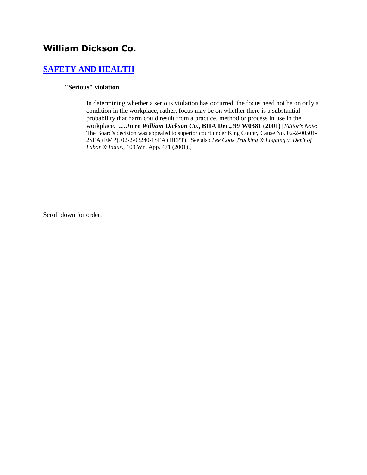# **[SAFETY AND HEALTH](http://www.biia.wa.gov/SDSubjectIndex.html#SAFETY_AND_HEALTH)**

#### **"Serious" violation**

In determining whether a serious violation has occurred, the focus need not be on only a condition in the workplace, rather, focus may be on whether there is a substantial probability that harm could result from a practice, method or process in use in the workplace. **….***In re William Dickson Co.***, BIIA Dec., 99 W0381 (2001)** [*Editor's Note*: The Board's decision was appealed to superior court under King County Cause No. 02-2-00501- 2SEA (EMP), 02-2-03240-1SEA (DEPT). See also *Lee Cook Trucking & Logging v. Dep't of Labor & Indus*., 109 Wn. App. 471 (2001).]

Scroll down for order.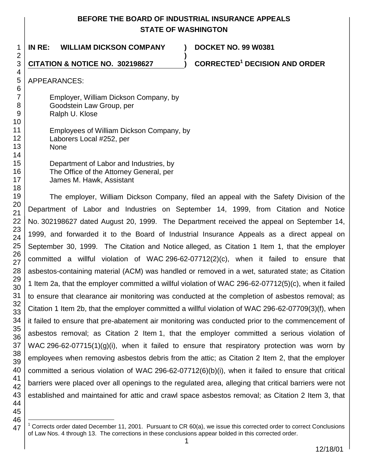## **BEFORE THE BOARD OF INDUSTRIAL INSURANCE APPEALS STATE OF WASHINGTON**

**)**

1 **IN RE: WILLIAM DICKSON COMPANY ) DOCKET NO. 99 W0381**

**CITATION & NOTICE NO. 302198627 ) CORRECTED<sup>1</sup> DECISION AND ORDER** 

APPEARANCES:

Employer, William Dickson Company, by Goodstein Law Group, per Ralph U. Klose

10 11 12 13 14 Employees of William Dickson Company, by Laborers Local #252, per None

> Department of Labor and Industries, by The Office of the Attorney General, per James M. Hawk, Assistant

The employer, William Dickson Company, filed an appeal with the Safety Division of the Department of Labor and Industries on September 14, 1999, from Citation and Notice No. 302198627 dated August 20, 1999. The Department received the appeal on September 14, 1999, and forwarded it to the Board of Industrial Insurance Appeals as a direct appeal on September 30, 1999. The Citation and Notice alleged, as Citation 1 Item 1, that the employer committed a willful violation of WAC 296-62-07712(2)(c), when it failed to ensure that asbestos-containing material (ACM) was handled or removed in a wet, saturated state; as Citation 1 Item 2a, that the employer committed a willful violation of WAC 296-62-07712(5)(c), when it failed to ensure that clearance air monitoring was conducted at the completion of asbestos removal; as Citation 1 Item 2b, that the employer committed a willful violation of WAC 296-62-07709(3)(f), when it failed to ensure that pre-abatement air monitoring was conducted prior to the commencement of asbestos removal; as Citation 2 Item 1, that the employer committed a serious violation of WAC 296-62-07715(1)(g)(i), when it failed to ensure that respiratory protection was worn by employees when removing asbestos debris from the attic; as Citation 2 Item 2, that the employer committed a serious violation of WAC 296-62-07712(6)(b)(i), when it failed to ensure that critical barriers were placed over all openings to the regulated area, alleging that critical barriers were not established and maintained for attic and crawl space asbestos removal; as Citation 2 Item 3, that

<sup>47</sup> l Corrects order dated December 11, 2001. Pursuant to CR 60(a), we issue this corrected order to correct Conclusions of Law Nos. 4 through 13. The corrections in these conclusions appear bolded in this corrected order.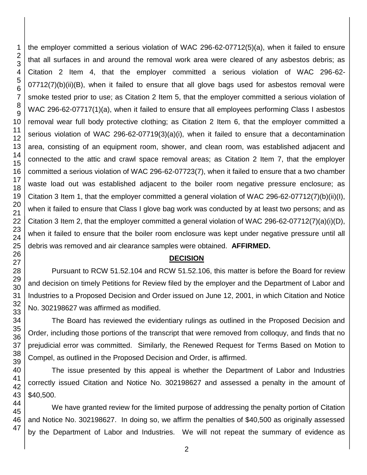the employer committed a serious violation of WAC 296-62-07712(5)(a), when it failed to ensure that all surfaces in and around the removal work area were cleared of any asbestos debris; as Citation 2 Item 4, that the employer committed a serious violation of WAC 296-62- 07712(7)(b)(ii)(B), when it failed to ensure that all glove bags used for asbestos removal were smoke tested prior to use; as Citation 2 Item 5, that the employer committed a serious violation of WAC 296-62-07717(1)(a), when it failed to ensure that all employees performing Class I asbestos removal wear full body protective clothing; as Citation 2 Item 6, that the employer committed a serious violation of WAC 296-62-07719(3)(a)(i), when it failed to ensure that a decontamination area, consisting of an equipment room, shower, and clean room, was established adjacent and connected to the attic and crawl space removal areas; as Citation 2 Item 7, that the employer committed a serious violation of WAC 296-62-07723(7), when it failed to ensure that a two chamber waste load out was established adjacent to the boiler room negative pressure enclosure; as Citation 3 Item 1, that the employer committed a general violation of WAC 296-62-07712(7)(b)(ii)(I), when it failed to ensure that Class I glove bag work was conducted by at least two persons; and as Citation 3 Item 2, that the employer committed a general violation of WAC 296-62-07712(7)(a)(i)(D), when it failed to ensure that the boiler room enclosure was kept under negative pressure until all debris was removed and air clearance samples were obtained. **AFFIRMED.**

#### **DECISION**

Pursuant to RCW 51.52.104 and RCW 51.52.106, this matter is before the Board for review and decision on timely Petitions for Review filed by the employer and the Department of Labor and Industries to a Proposed Decision and Order issued on June 12, 2001, in which Citation and Notice No. 302198627 was affirmed as modified.

The Board has reviewed the evidentiary rulings as outlined in the Proposed Decision and Order, including those portions of the transcript that were removed from colloquy, and finds that no prejudicial error was committed. Similarly, the Renewed Request for Terms Based on Motion to Compel, as outlined in the Proposed Decision and Order, is affirmed.

The issue presented by this appeal is whether the Department of Labor and Industries correctly issued Citation and Notice No. 302198627 and assessed a penalty in the amount of \$40,500.

We have granted review for the limited purpose of addressing the penalty portion of Citation and Notice No. 302198627. In doing so, we affirm the penalties of \$40,500 as originally assessed by the Department of Labor and Industries. We will not repeat the summary of evidence as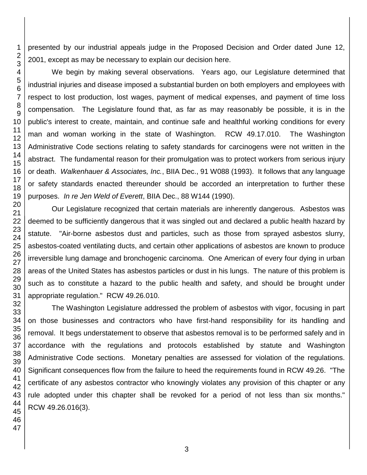presented by our industrial appeals judge in the Proposed Decision and Order dated June 12, 2001, except as may be necessary to explain our decision here.

We begin by making several observations. Years ago, our Legislature determined that industrial injuries and disease imposed a substantial burden on both employers and employees with respect to lost production, lost wages, payment of medical expenses, and payment of time loss compensation. The Legislature found that, as far as may reasonably be possible, it is in the public's interest to create, maintain, and continue safe and healthful working conditions for every man and woman working in the state of Washington. RCW 49.17.010. The Washington Administrative Code sections relating to safety standards for carcinogens were not written in the abstract. The fundamental reason for their promulgation was to protect workers from serious injury or death. *Walkenhauer & Associate*s*, Inc.*, BIIA Dec., 91 W088 (1993). It follows that any language or safety standards enacted thereunder should be accorded an interpretation to further these purposes. *In re Jen Weld of Everett*, BIIA Dec., 88 W144 (1990).

Our Legislature recognized that certain materials are inherently dangerous. Asbestos was deemed to be sufficiently dangerous that it was singled out and declared a public health hazard by statute. "Air-borne asbestos dust and particles, such as those from sprayed asbestos slurry, asbestos-coated ventilating ducts, and certain other applications of asbestos are known to produce irreversible lung damage and bronchogenic carcinoma. One American of every four dying in urban areas of the United States has asbestos particles or dust in his lungs. The nature of this problem is such as to constitute a hazard to the public health and safety, and should be brought under appropriate regulation." RCW 49.26.010.

The Washington Legislature addressed the problem of asbestos with vigor, focusing in part on those businesses and contractors who have first-hand responsibility for its handling and removal. It begs understatement to observe that asbestos removal is to be performed safely and in accordance with the regulations and protocols established by statute and Washington Administrative Code sections. Monetary penalties are assessed for violation of the regulations. Significant consequences flow from the failure to heed the requirements found in RCW 49.26. "The certificate of any asbestos contractor who knowingly violates any provision of this chapter or any rule adopted under this chapter shall be revoked for a period of not less than six months." RCW 49.26.016(3).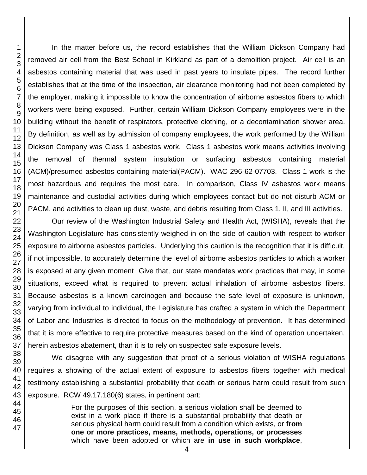In the matter before us, the record establishes that the William Dickson Company had removed air cell from the Best School in Kirkland as part of a demolition project. Air cell is an asbestos containing material that was used in past years to insulate pipes. The record further establishes that at the time of the inspection, air clearance monitoring had not been completed by the employer, making it impossible to know the concentration of airborne asbestos fibers to which workers were being exposed. Further, certain William Dickson Company employees were in the building without the benefit of respirators, protective clothing, or a decontamination shower area. By definition, as well as by admission of company employees, the work performed by the William Dickson Company was Class 1 asbestos work. Class 1 asbestos work means activities involving the removal of thermal system insulation or surfacing asbestos containing material (ACM)/presumed asbestos containing material(PACM). WAC 296-62-07703. Class 1 work is the most hazardous and requires the most care. In comparison, Class IV asbestos work means maintenance and custodial activities during which employees contact but do not disturb ACM or PACM, and activities to clean up dust, waste, and debris resulting from Class 1, II, and III activities.

Our review of the Washington Industrial Safety and Health Act, (WISHA), reveals that the Washington Legislature has consistently weighed-in on the side of caution with respect to worker exposure to airborne asbestos particles. Underlying this caution is the recognition that it is difficult, if not impossible, to accurately determine the level of airborne asbestos particles to which a worker is exposed at any given moment Give that, our state mandates work practices that may, in some situations, exceed what is required to prevent actual inhalation of airborne asbestos fibers. Because asbestos is a known carcinogen and because the safe level of exposure is unknown, varying from individual to individual, the Legislature has crafted a system in which the Department of Labor and Industries is directed to focus on the methodology of prevention. It has determined that it is more effective to require protective measures based on the kind of operation undertaken, herein asbestos abatement, than it is to rely on suspected safe exposure levels.

We disagree with any suggestion that proof of a serious violation of WISHA regulations requires a showing of the actual extent of exposure to asbestos fibers together with medical testimony establishing a substantial probability that death or serious harm could result from such exposure. RCW 49.17.180(6) states, in pertinent part:

> For the purposes of this section, a serious violation shall be deemed to exist in a work place if there is a substantial probability that death or serious physical harm could result from a condition which exists, or **from one or more practices, means, methods, operations, or processes** which have been adopted or which are **in use in such workplace**,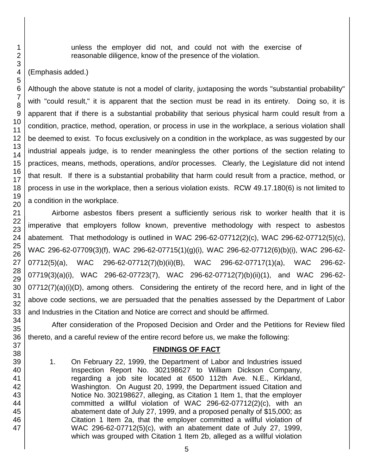unless the employer did not, and could not with the exercise of reasonable diligence, know of the presence of the violation.

### (Emphasis added.)

Although the above statute is not a model of clarity, juxtaposing the words "substantial probability" with "could result," it is apparent that the section must be read in its entirety. Doing so, it is apparent that if there is a substantial probability that serious physical harm could result from a condition, practice, method, operation, or process in use in the workplace, a serious violation shall be deemed to exist. To focus exclusively on a condition in the workplace, as was suggested by our industrial appeals judge, is to render meaningless the other portions of the section relating to practices, means, methods, operations, and/or processes. Clearly, the Legislature did not intend that result. If there is a substantial probability that harm could result from a practice, method, or process in use in the workplace, then a serious violation exists. RCW 49.17.180(6) is not limited to a condition in the workplace.

Airborne asbestos fibers present a sufficiently serious risk to worker health that it is imperative that employers follow known, preventive methodology with respect to asbestos abatement. That methodology is outlined in WAC 296-62-07712(2)(c), WAC 296-62-07712(5)(c), WAC 296-62-07709(3)(f), WAC 296-62-07715(1)(g)(i), WAC 296-62-07712(6)(b)(i), WAC 296-62- 07712(5)(a), WAC 296-62-07712(7)(b)(ii)(B), WAC 296-62-07717(1)(a), WAC 296-62- 07719(3)(a)(i), WAC 296-62-07723(7), WAC 296-62-07712(7)(b)(ii)(1), and WAC 296-62- 07712(7)(a)(i)(D), among others. Considering the entirety of the record here, and in light of the above code sections, we are persuaded that the penalties assessed by the Department of Labor and Industries in the Citation and Notice are correct and should be affirmed.

After consideration of the Proposed Decision and Order and the Petitions for Review filed thereto, and a careful review of the entire record before us, we make the following:

### **FINDINGS OF FACT**

1. On February 22, 1999, the Department of Labor and Industries issued Inspection Report No. 302198627 to William Dickson Company, regarding a job site located at 6500 112th Ave. N.E., Kirkland, Washington. On August 20, 1999, the Department issued Citation and Notice No. 302198627, alleging, as Citation 1 Item 1, that the employer committed a willful violation of WAC 296-62-07712(2)(c), with an abatement date of July 27, 1999, and a proposed penalty of \$15,000; as Citation 1 Item 2a, that the employer committed a willful violation of WAC 296-62-07712(5)(c), with an abatement date of July 27, 1999, which was grouped with Citation 1 Item 2b, alleged as a willful violation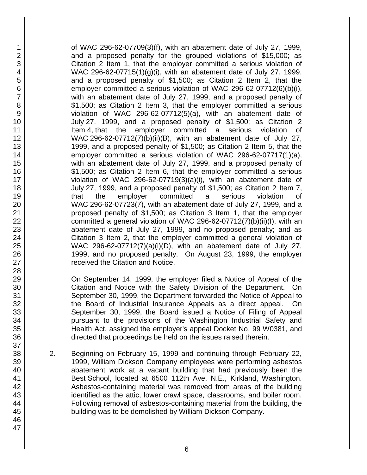of WAC 296-62-07709(3)(f), with an abatement date of July 27, 1999, and a proposed penalty for the grouped violations of \$15,000; as Citation 2 Item 1, that the employer committed a serious violation of WAC 296-62-07715(1)(g)(i), with an abatement date of July 27, 1999, and a proposed penalty of \$1,500; as Citation 2 Item 2, that the employer committed a serious violation of WAC 296-62-07712(6)(b)(i), with an abatement date of July 27, 1999, and a proposed penalty of \$1,500; as Citation 2 Item 3, that the employer committed a serious violation of WAC 296-62-07712(5)(a), with an abatement date of July 27, 1999, and a proposed penalty of \$1,500; as Citation 2 Item 4, that the employer committed a serious violation of WAC 296-62-07712(7)(b)(ii)(B), with an abatement date of July 27, 1999, and a proposed penalty of \$1,500; as Citation 2 Item 5, that the employer committed a serious violation of WAC 296-62-07717(1)(a), with an abatement date of July 27, 1999, and a proposed penalty of \$1,500; as Citation 2 Item 6, that the employer committed a serious violation of WAC 296-62-07719(3)(a)(i), with an abatement date of July 27, 1999, and a proposed penalty of \$1,500; as Citation 2 Item 7, that the employer committed a serious violation of WAC 296-62-07723(7), with an abatement date of July 27, 1999, and a proposed penalty of \$1,500; as Citation 3 Item 1, that the employer committed a general violation of WAC 296-62-07712(7)(b)(ii)(I), with an abatement date of July 27, 1999, and no proposed penalty; and as Citation 3 Item 2, that the employer committed a general violation of WAC 296-62-07712(7)(a)(i)(D), with an abatement date of July 27, 1999, and no proposed penalty. On August 23, 1999, the employer received the Citation and Notice.

On September 14, 1999, the employer filed a Notice of Appeal of the Citation and Notice with the Safety Division of the Department. On September 30, 1999, the Department forwarded the Notice of Appeal to the Board of Industrial Insurance Appeals as a direct appeal. On September 30, 1999, the Board issued a Notice of Filing of Appeal pursuant to the provisions of the Washington Industrial Safety and Health Act, assigned the employer's appeal Docket No. 99 W0381, and directed that proceedings be held on the issues raised therein.

2. Beginning on February 15, 1999 and continuing through February 22, 1999, William Dickson Company employees were performing asbestos abatement work at a vacant building that had previously been the Best School, located at 6500 112th Ave. N.E., Kirkland, Washington. Asbestos-containing material was removed from areas of the building identified as the attic, lower crawl space, classrooms, and boiler room. Following removal of asbestos-containing material from the building, the building was to be demolished by William Dickson Company.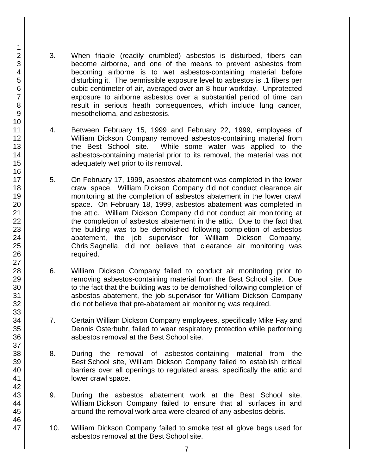- 3. When friable (readily crumbled) asbestos is disturbed, fibers can become airborne, and one of the means to prevent asbestos from becoming airborne is to wet asbestos-containing material before disturbing it. The permissible exposure level to asbestos is .1 fibers per cubic centimeter of air, averaged over an 8-hour workday. Unprotected exposure to airborne asbestos over a substantial period of time can result in serious heath consequences, which include lung cancer, mesothelioma, and asbestosis.
- 4. Between February 15, 1999 and February 22, 1999, employees of William Dickson Company removed asbestos-containing material from the Best School site. While some water was applied to the asbestos-containing material prior to its removal, the material was not adequately wet prior to its removal.
- 5. On February 17, 1999, asbestos abatement was completed in the lower crawl space. William Dickson Company did not conduct clearance air monitoring at the completion of asbestos abatement in the lower crawl space. On February 18, 1999, asbestos abatement was completed in the attic. William Dickson Company did not conduct air monitoring at the completion of asbestos abatement in the attic. Due to the fact that the building was to be demolished following completion of asbestos abatement, the job supervisor for William Dickson Company, Chris Sagnella, did not believe that clearance air monitoring was required.
- 6. William Dickson Company failed to conduct air monitoring prior to removing asbestos-containing material from the Best School site. Due to the fact that the building was to be demolished following completion of asbestos abatement, the job supervisor for William Dickson Company did not believe that pre-abatement air monitoring was required.
- 7. Certain William Dickson Company employees, specifically Mike Fay and Dennis Osterbuhr, failed to wear respiratory protection while performing asbestos removal at the Best School site.
- 8. During the removal of asbestos-containing material from the Best School site, William Dickson Company failed to establish critical barriers over all openings to regulated areas, specifically the attic and lower crawl space.
- 9. During the asbestos abatement work at the Best School site, William Dickson Company failed to ensure that all surfaces in and around the removal work area were cleared of any asbestos debris.
- 10. William Dickson Company failed to smoke test all glove bags used for asbestos removal at the Best School site.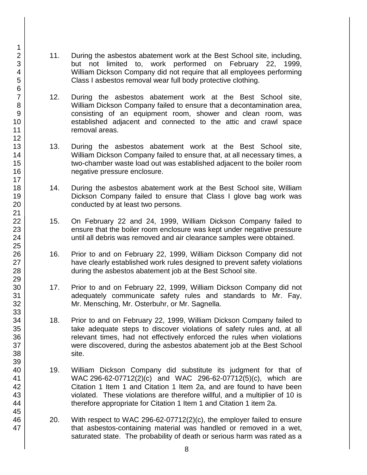- 11. During the asbestos abatement work at the Best School site, including, but not limited to, work performed on February 22, 1999, William Dickson Company did not require that all employees performing Class I asbestos removal wear full body protective clothing.
- 12. During the asbestos abatement work at the Best School site, William Dickson Company failed to ensure that a decontamination area, consisting of an equipment room, shower and clean room, was established adjacent and connected to the attic and crawl space removal areas.
- 13. During the asbestos abatement work at the Best School site, William Dickson Company failed to ensure that, at all necessary times, a two-chamber waste load out was established adjacent to the boiler room negative pressure enclosure.
- 14. During the asbestos abatement work at the Best School site, William Dickson Company failed to ensure that Class I glove bag work was conducted by at least two persons.
- 15. On February 22 and 24, 1999, William Dickson Company failed to ensure that the boiler room enclosure was kept under negative pressure until all debris was removed and air clearance samples were obtained.
- 16. Prior to and on February 22, 1999, William Dickson Company did not have clearly established work rules designed to prevent safety violations during the asbestos abatement job at the Best School site.
- 17. Prior to and on February 22, 1999, William Dickson Company did not adequately communicate safety rules and standards to Mr. Fay, Mr. Mensching, Mr. Osterbuhr, or Mr. Sagnella.
- 18. Prior to and on February 22, 1999, William Dickson Company failed to take adequate steps to discover violations of safety rules and, at all relevant times, had not effectively enforced the rules when violations were discovered, during the asbestos abatement job at the Best School site.
- 19. William Dickson Company did substitute its judgment for that of WAC 296-62-07712(2)(c) and WAC 296-62-07712(5)(c), which are Citation 1 Item 1 and Citation 1 Item 2a, and are found to have been violated. These violations are therefore willful, and a multiplier of 10 is therefore appropriate for Citation 1 Item 1 and Citation 1 item 2a.
- 20. With respect to WAC 296-62-07712(2)(c), the employer failed to ensure that asbestos-containing material was handled or removed in a wet, saturated state. The probability of death or serious harm was rated as a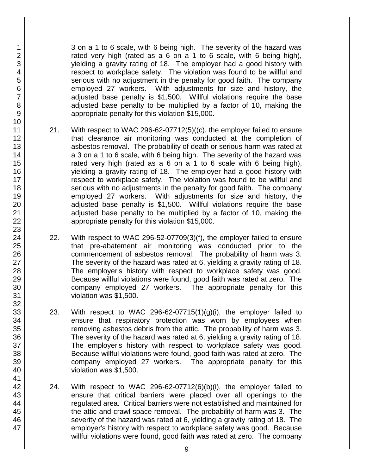3 on a 1 to 6 scale, with 6 being high. The severity of the hazard was rated very high (rated as a 6 on a 1 to 6 scale, with 6 being high), yielding a gravity rating of 18. The employer had a good history with respect to workplace safety. The violation was found to be willful and serious with no adjustment in the penalty for good faith. The company employed 27 workers. With adjustments for size and history, the adjusted base penalty is \$1,500. Willful violations require the base adjusted base penalty to be multiplied by a factor of 10, making the appropriate penalty for this violation \$15,000.

- 21. With respect to WAC 296-62-07712(5)((c), the employer failed to ensure that clearance air monitoring was conducted at the completion of asbestos removal. The probability of death or serious harm was rated at a 3 on a 1 to 6 scale, with 6 being high. The severity of the hazard was rated very high (rated as a 6 on a 1 to 6 scale with 6 being high), yielding a gravity rating of 18. The employer had a good history with respect to workplace safety. The violation was found to be willful and serious with no adjustments in the penalty for good faith. The company employed 27 workers. With adjustments for size and history, the adjusted base penalty is \$1,500. Willful violations require the base adjusted base penalty to be multiplied by a factor of 10, making the appropriate penalty for this violation \$15,000.
- 22. With respect to WAC 296-52-07709(3)(f), the employer failed to ensure that pre-abatement air monitoring was conducted prior to the commencement of asbestos removal. The probability of harm was 3. The severity of the hazard was rated at 6, yielding a gravity rating of 18. The employer's history with respect to workplace safety was good. Because willful violations were found, good faith was rated at zero. The company employed 27 workers. The appropriate penalty for this violation was \$1,500.
- 23. With respect to WAC 296-62-07715(1)(g)(i), the employer failed to ensure that respiratory protection was worn by employees when removing asbestos debris from the attic. The probability of harm was 3. The severity of the hazard was rated at 6, yielding a gravity rating of 18. The employer's history with respect to workplace safety was good. Because willful violations were found, good faith was rated at zero. The company employed 27 workers. The appropriate penalty for this violation was \$1,500.
- 24. With respect to WAC 296-62-07712 $(6)(b)(i)$ , the employer failed to ensure that critical barriers were placed over all openings to the regulated area. Critical barriers were not established and maintained for the attic and crawl space removal. The probability of harm was 3. The severity of the hazard was rated at 6, yielding a gravity rating of 18. The employer's history with respect to workplace safety was good. Because willful violations were found, good faith was rated at zero. The company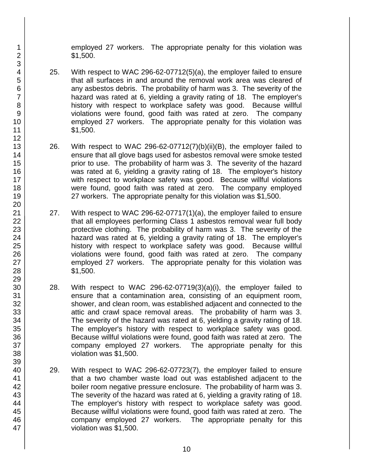employed 27 workers. The appropriate penalty for this violation was \$1,500.

- 25. With respect to WAC 296-62-07712(5)(a), the employer failed to ensure that all surfaces in and around the removal work area was cleared of any asbestos debris. The probability of harm was 3. The severity of the hazard was rated at 6, yielding a gravity rating of 18. The employer's history with respect to workplace safety was good. Because willful violations were found, good faith was rated at zero. The company employed 27 workers. The appropriate penalty for this violation was \$1,500.
- 26. With respect to WAC 296-62-07712(7)(b)(ii)(B), the employer failed to ensure that all glove bags used for asbestos removal were smoke tested prior to use. The probability of harm was 3. The severity of the hazard was rated at 6, yielding a gravity rating of 18. The employer's history with respect to workplace safety was good. Because willful violations were found, good faith was rated at zero. The company employed 27 workers. The appropriate penalty for this violation was \$1,500.
- 27. With respect to WAC 296-62-07717(1)(a), the employer failed to ensure that all employees performing Class 1 asbestos removal wear full body protective clothing. The probability of harm was 3. The severity of the hazard was rated at 6, yielding a gravity rating of 18. The employer's history with respect to workplace safety was good. Because willful violations were found, good faith was rated at zero. The company employed 27 workers. The appropriate penalty for this violation was \$1,500.
- 28. With respect to WAC 296-62-07719(3)(a)(i), the employer failed to ensure that a contamination area, consisting of an equipment room, shower, and clean room, was established adjacent and connected to the attic and crawl space removal areas. The probability of harm was 3. The severity of the hazard was rated at 6, yielding a gravity rating of 18. The employer's history with respect to workplace safety was good. Because willful violations were found, good faith was rated at zero. The company employed 27 workers. The appropriate penalty for this violation was \$1,500.
- 29. With respect to WAC 296-62-07723(7), the employer failed to ensure that a two chamber waste load out was established adjacent to the boiler room negative pressure enclosure. The probability of harm was 3. The severity of the hazard was rated at 6, yielding a gravity rating of 18. The employer's history with respect to workplace safety was good. Because willful violations were found, good faith was rated at zero. The company employed 27 workers. The appropriate penalty for this violation was \$1,500.

47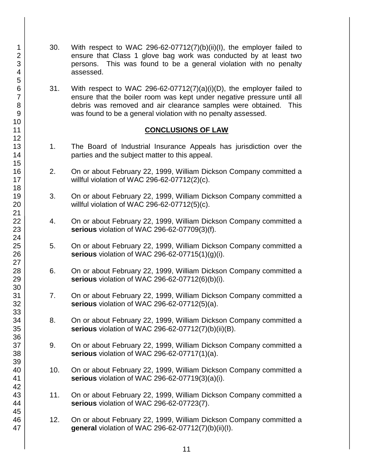- 30. With respect to WAC 296-62-07712(7)(b)(ii)(I), the employer failed to ensure that Class 1 glove bag work was conducted by at least two persons. This was found to be a general violation with no penalty assessed.
- 31. With respect to WAC 296-62-07712(7)(a)(i)(D), the employer failed to ensure that the boiler room was kept under negative pressure until all debris was removed and air clearance samples were obtained. This was found to be a general violation with no penalty assessed.

#### **CONCLUSIONS OF LAW**

- 1. The Board of Industrial Insurance Appeals has jurisdiction over the parties and the subject matter to this appeal.
- 2. On or about February 22, 1999, William Dickson Company committed a willful violation of WAC 296-62-07712(2)(c).
- 3. On or about February 22, 1999, William Dickson Company committed a willful violation of WAC 296-62-07712(5)(c).
- 4. On or about February 22, 1999, William Dickson Company committed a **serious** violation of WAC 296-62-07709(3)(f).
- 5. On or about February 22, 1999, William Dickson Company committed a **serious** violation of WAC 296-62-07715(1)(g)(i).
- 6. On or about February 22, 1999, William Dickson Company committed a **serious** violation of WAC 296-62-07712(6)(b)(i).
- 7. On or about February 22, 1999, William Dickson Company committed a **serious** violation of WAC 296-62-07712(5)(a).
- 8. On or about February 22, 1999, William Dickson Company committed a **serious** violation of WAC 296-62-07712(7)(b)(ii)(B).
- 9. On or about February 22, 1999, William Dickson Company committed a **serious** violation of WAC 296-62-07717(1)(a).
- 10. On or about February 22, 1999, William Dickson Company committed a **serious** violation of WAC 296-62-07719(3)(a)(i).
- 11. On or about February 22, 1999, William Dickson Company committed a **serious** violation of WAC 296-62-07723(7).
- 12. On or about February 22, 1999, William Dickson Company committed a **general** violation of WAC 296-62-07712(7)(b)(ii)(I).